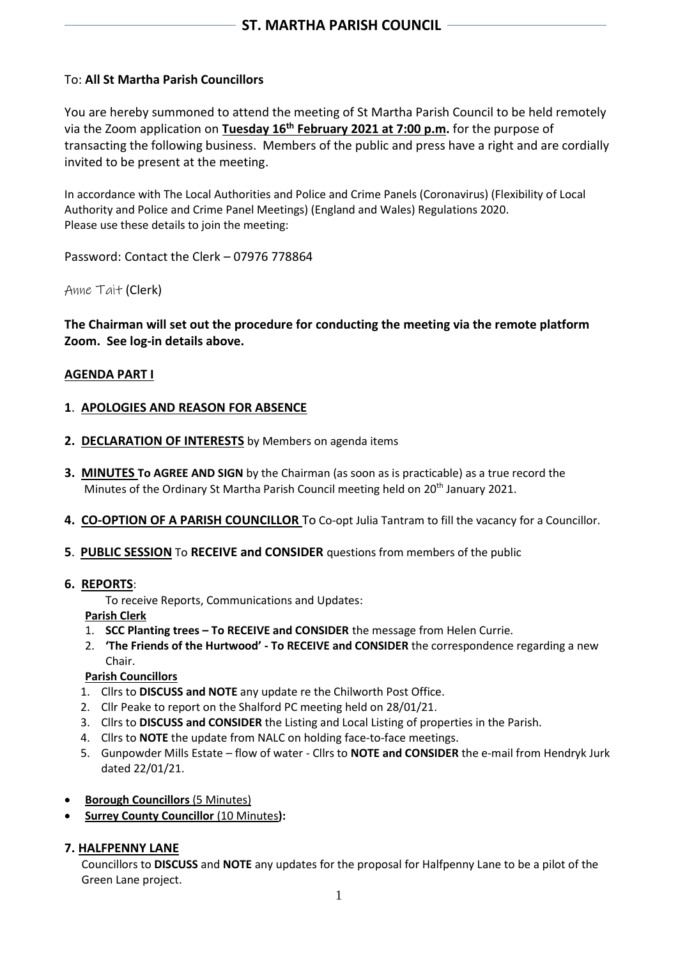## To: **All St Martha Parish Councillors**

You are hereby summoned to attend the meeting of St Martha Parish Council to be held remotely via the Zoom application on **Tuesday 16th February 2021 at 7:00 p.m.** for the purpose of transacting the following business. Members of the public and press have a right and are cordially invited to be present at the meeting.

In accordance with The Local Authorities and Police and Crime Panels (Coronavirus) (Flexibility of Local Authority and Police and Crime Panel Meetings) (England and Wales) Regulations 2020. Please use these details to join the meeting:

Password: Contact the Clerk – 07976 778864

Anne Tait (Clerk)

**The Chairman will set out the procedure for conducting the meeting via the remote platform Zoom. See log-in details above.**

#### **AGENDA PART I**

#### **1**. **APOLOGIES AND REASON FOR ABSENCE**

- **2. DECLARATION OF INTERESTS** by Members on agenda items
- **3. MINUTES To AGREE AND SIGN** by the Chairman (as soon as is practicable) as a true record the Minutes of the Ordinary St Martha Parish Council meeting held on 20<sup>th</sup> January 2021.
- **4. CO-OPTION OF A PARISH COUNCILLOR** To Co-opt Julia Tantram to fill the vacancy for a Councillor.
- **5**. **PUBLIC SESSION** To **RECEIVE and CONSIDER** questions from members of the public
- **6. REPORTS**:

To receive Reports, Communications and Updates:

- **Parish Clerk**
- 1. **SCC Planting trees – To RECEIVE and CONSIDER** the message from Helen Currie.
- 2. **'The Friends of the Hurtwood' - To RECEIVE and CONSIDER** the correspondence regarding a new Chair.

## **Parish Councillors**

- 1. Cllrs to **DISCUSS and NOTE** any update re the Chilworth Post Office.
- 2. Cllr Peake to report on the Shalford PC meeting held on 28/01/21.
- 3. Cllrs to **DISCUSS and CONSIDER** the Listing and Local Listing of properties in the Parish.
- 4. Cllrs to **NOTE** the update from NALC on holding face-to-face meetings.
- 5. Gunpowder Mills Estate flow of water Cllrs to **NOTE and CONSIDER** the e-mail from Hendryk Jurk dated 22/01/21.
- **Borough Councillors** (5 Minutes)
- **Surrey County Councillor** (10 Minutes**):**

## **7. HALFPENNY LANE**

 Councillors to **DISCUSS** and **NOTE** any updates for the proposal for Halfpenny Lane to be a pilot of the Green Lane project.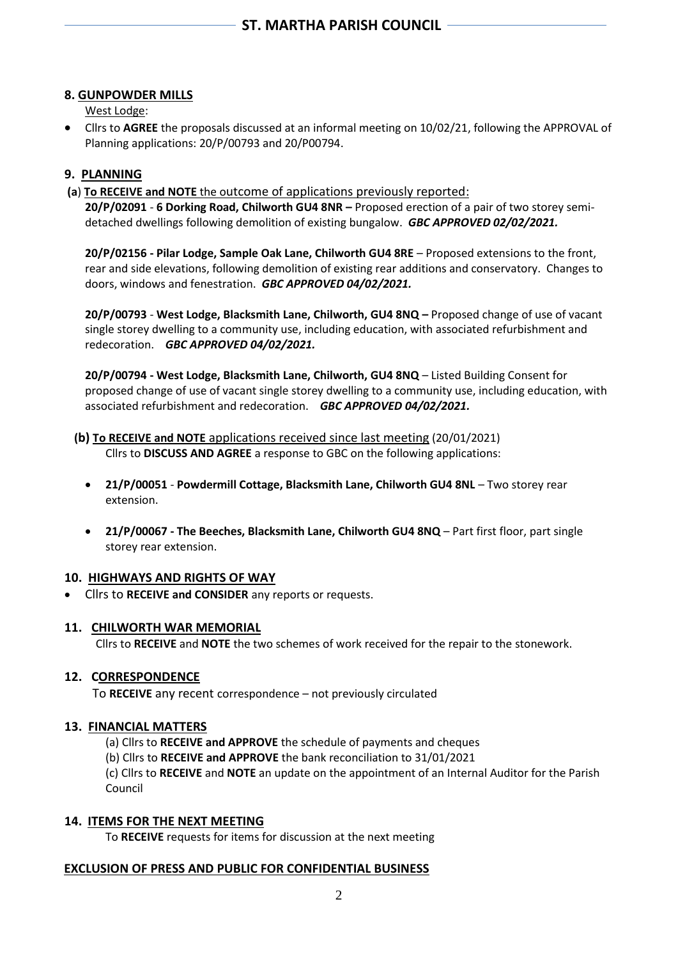# **8. GUNPOWDER MILLS**

West Lodge:

• Cllrs to **AGREE** the proposals discussed at an informal meeting on 10/02/21, following the APPROVAL of Planning applications: 20/P/00793 and 20/P00794.

# **9. PLANNING**

**(a**) **To RECEIVE and NOTE** the outcome of applications previously reported:

**20/P/02091** - **6 Dorking Road, Chilworth GU4 8NR –** Proposed erection of a pair of two storey semidetached dwellings following demolition of existing bungalow. *GBC APPROVED 02/02/2021.*

**20/P/02156 - Pilar Lodge, Sample Oak Lane, Chilworth GU4 8RE** – Proposed extensions to the front, rear and side elevations, following demolition of existing rear additions and conservatory. Changes to doors, windows and fenestration.*GBC APPROVED 04/02/2021.*

**20/P/00793** - **West Lodge, Blacksmith Lane, Chilworth, GU4 8NQ –** Proposed change of use of vacant single storey dwelling to a community use, including education, with associated refurbishment and redecoration. *GBC APPROVED 04/02/2021.*

**20/P/00794 - West Lodge, Blacksmith Lane, Chilworth, GU4 8NQ** – Listed Building Consent for proposed change of use of vacant single storey dwelling to a community use, including education, with associated refurbishment and redecoration. *GBC APPROVED 04/02/2021.*

# **(b) To RECEIVE and NOTE** applications received since last meeting (20/01/2021)

Cllrs to **DISCUSS AND AGREE** a response to GBC on the following applications:

- **21/P/00051 Powdermill Cottage, Blacksmith Lane, Chilworth GU4 8NL** Two storey rear extension.
- **21/P/00067 - The Beeches, Blacksmith Lane, Chilworth GU4 8NQ** Part first floor, part single storey rear extension.

## **10. HIGHWAYS AND RIGHTS OF WAY**

• Cllrs to **RECEIVE and CONSIDER** any reports or requests.

## **11. CHILWORTH WAR MEMORIAL**

Cllrs to **RECEIVE** and **NOTE** the two schemes of work received for the repair to the stonework.

## **12. CORRESPONDENCE**

To **RECEIVE** any recent correspondence – not previously circulated

## **13. FINANCIAL MATTERS**

(a) Cllrs to **RECEIVE and APPROVE** the schedule of payments and cheques

(b) Cllrs to **RECEIVE and APPROVE** the bank reconciliation to 31/01/2021

(c) Cllrs to **RECEIVE** and **NOTE** an update on the appointment of an Internal Auditor for the Parish Council

## **14. ITEMS FOR THE NEXT MEETING**

To **RECEIVE** requests for items for discussion at the next meeting

## **EXCLUSION OF PRESS AND PUBLIC FOR CONFIDENTIAL BUSINESS**